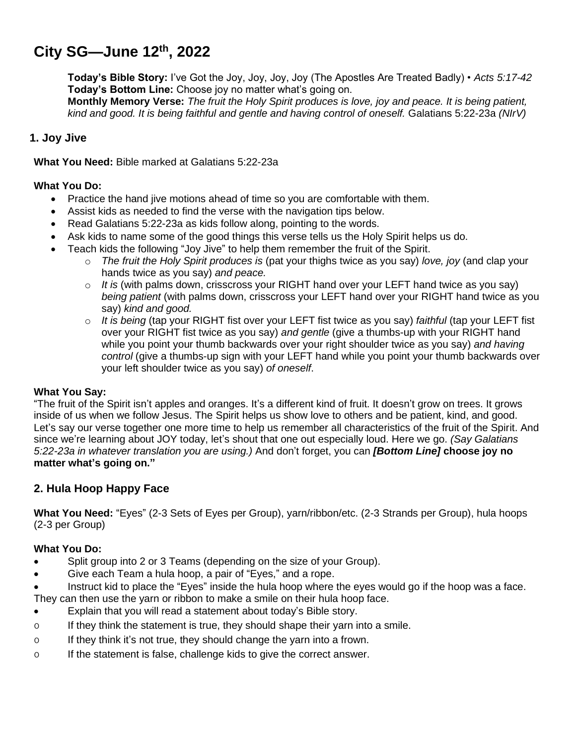# **City SG—June 12th , 2022**

**Today's Bible Story:** I've Got the Joy, Joy, Joy, Joy (The Apostles Are Treated Badly) • *Acts 5:17-42* **Today's Bottom Line:** Choose joy no matter what's going on.

**Monthly Memory Verse:** *The fruit the Holy Spirit produces is love, joy and peace. It is being patient, kind and good. It is being faithful and gentle and having control of oneself.* Galatians 5:22-23a *(NIrV)*

# **1. Joy Jive**

**What You Need:** Bible marked at Galatians 5:22-23a

## **What You Do:**

- Practice the hand jive motions ahead of time so you are comfortable with them.
- Assist kids as needed to find the verse with the navigation tips below.
- Read Galatians 5:22-23a as kids follow along, pointing to the words.
- Ask kids to name some of the good things this verse tells us the Holy Spirit helps us do.
- Teach kids the following "Joy Jive" to help them remember the fruit of the Spirit.
	- o *The fruit the Holy Spirit produces is* (pat your thighs twice as you say) *love, joy* (and clap your hands twice as you say) *and peace.*
	- o *It is* (with palms down, crisscross your RIGHT hand over your LEFT hand twice as you say) *being patient* (with palms down, crisscross your LEFT hand over your RIGHT hand twice as you say) *kind and good.*
	- o *It is being* (tap your RIGHT fist over your LEFT fist twice as you say) *faithful* (tap your LEFT fist over your RIGHT fist twice as you say) *and gentle* (give a thumbs-up with your RIGHT hand while you point your thumb backwards over your right shoulder twice as you say) *and having control* (give a thumbs-up sign with your LEFT hand while you point your thumb backwards over your left shoulder twice as you say) *of oneself*.

# **What You Say:**

"The fruit of the Spirit isn't apples and oranges. It's a different kind of fruit. It doesn't grow on trees. It grows inside of us when we follow Jesus. The Spirit helps us show love to others and be patient, kind, and good. Let's say our verse together one more time to help us remember all characteristics of the fruit of the Spirit. And since we're learning about JOY today, let's shout that one out especially loud. Here we go. *(Say Galatians 5:22-23a in whatever translation you are using.)* And don't forget, you can *[Bottom Line]* **choose joy no matter what's going on."**

# **2. Hula Hoop Happy Face**

**What You Need:** "Eyes" (2-3 Sets of Eyes per Group), yarn/ribbon/etc. (2-3 Strands per Group), hula hoops (2-3 per Group)

#### **What You Do:**

- Split group into 2 or 3 Teams (depending on the size of your Group).
- Give each Team a hula hoop, a pair of "Eyes," and a rope.
- Instruct kid to place the "Eyes" inside the hula hoop where the eyes would go if the hoop was a face. They can then use the yarn or ribbon to make a smile on their hula hoop face.
- Explain that you will read a statement about today's Bible story.
- o If they think the statement is true, they should shape their yarn into a smile.
- o If they think it's not true, they should change the yarn into a frown.
- o If the statement is false, challenge kids to give the correct answer.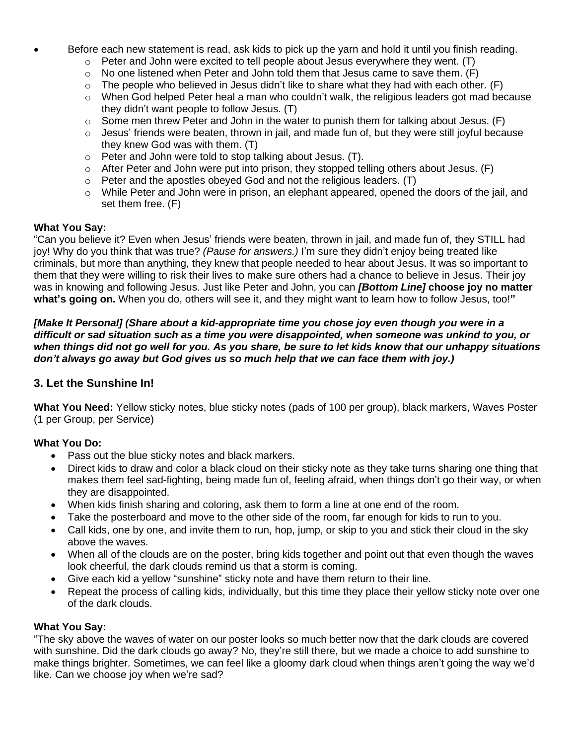- Before each new statement is read, ask kids to pick up the yarn and hold it until you finish reading.
	- $\circ$  Peter and John were excited to tell people about Jesus everywhere they went. (T)
	- $\circ$  No one listened when Peter and John told them that Jesus came to save them. (F)
	- o The people who believed in Jesus didn't like to share what they had with each other. (F)
	- $\circ$  When God helped Peter heal a man who couldn't walk, the religious leaders got mad because they didn't want people to follow Jesus. (T)
	- $\circ$  Some men threw Peter and John in the water to punish them for talking about Jesus. (F)
	- $\circ$  Jesus' friends were beaten, thrown in jail, and made fun of, but they were still joyful because they knew God was with them. (T)
	- o Peter and John were told to stop talking about Jesus. (T).
	- $\circ$  After Peter and John were put into prison, they stopped telling others about Jesus. (F)
	- $\circ$  Peter and the apostles obeyed God and not the religious leaders. (T)
	- $\circ$  While Peter and John were in prison, an elephant appeared, opened the doors of the jail, and set them free. (F)

#### **What You Say:**

"Can you believe it? Even when Jesus' friends were beaten, thrown in jail, and made fun of, they STILL had joy! Why do you think that was true? *(Pause for answers.)* I'm sure they didn't enjoy being treated like criminals, but more than anything, they knew that people needed to hear about Jesus. It was so important to them that they were willing to risk their lives to make sure others had a chance to believe in Jesus. Their joy was in knowing and following Jesus. Just like Peter and John, you can *[Bottom Line]* **choose joy no matter what's going on.** When you do, others will see it, and they might want to learn how to follow Jesus, too!**"** 

*[Make It Personal] (Share about a kid-appropriate time you chose joy even though you were in a difficult or sad situation such as a time you were disappointed, when someone was unkind to you, or when things did not go well for you. As you share, be sure to let kids know that our unhappy situations don't always go away but God gives us so much help that we can face them with joy.)*

#### **3. Let the Sunshine In!**

**What You Need:** Yellow sticky notes, blue sticky notes (pads of 100 per group), black markers, Waves Poster (1 per Group, per Service)

#### **What You Do:**

- Pass out the blue sticky notes and black markers.
- Direct kids to draw and color a black cloud on their sticky note as they take turns sharing one thing that makes them feel sad-fighting, being made fun of, feeling afraid, when things don't go their way, or when they are disappointed.
- When kids finish sharing and coloring, ask them to form a line at one end of the room.
- Take the posterboard and move to the other side of the room, far enough for kids to run to you.
- Call kids, one by one, and invite them to run, hop, jump, or skip to you and stick their cloud in the sky above the waves.
- When all of the clouds are on the poster, bring kids together and point out that even though the waves look cheerful, the dark clouds remind us that a storm is coming.
- Give each kid a yellow "sunshine" sticky note and have them return to their line.
- Repeat the process of calling kids, individually, but this time they place their yellow sticky note over one of the dark clouds.

#### **What You Say:**

"The sky above the waves of water on our poster looks so much better now that the dark clouds are covered with sunshine. Did the dark clouds go away? No, they're still there, but we made a choice to add sunshine to make things brighter. Sometimes, we can feel like a gloomy dark cloud when things aren't going the way we'd like. Can we choose joy when we're sad?